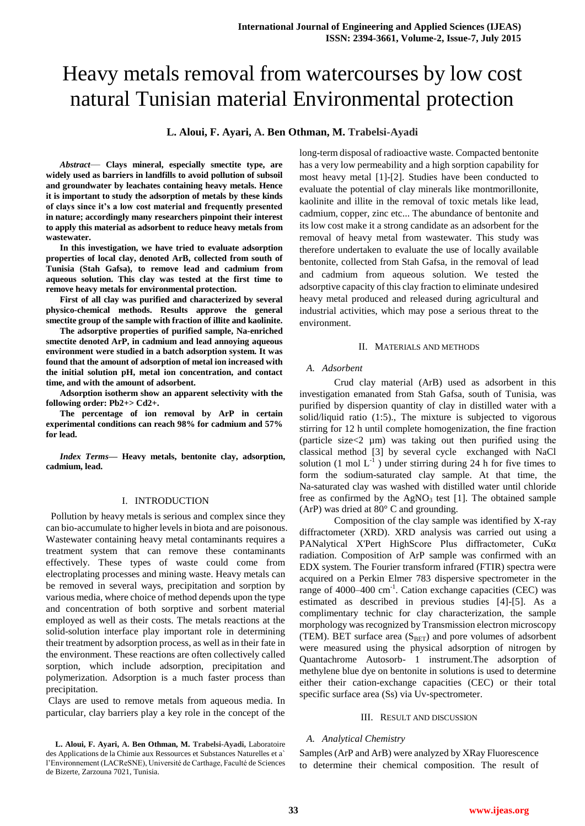# Heavy metals removal from watercourses by low cost natural Tunisian material Environmental protection

**L. Aloui, F. Ayari, A. Ben Othman, M. Trabelsi-Ayadi**

*Abstract*— **Clays mineral, especially smectite type, are widely used as barriers in landfills to avoid pollution of subsoil and groundwater by leachates containing heavy metals. Hence it is important to study the adsorption of metals by these kinds of clays since it's a low cost material and frequently presented in nature; accordingly many researchers pinpoint their interest to apply this material as adsorbent to reduce heavy metals from wastewater.** 

**In this investigation, we have tried to evaluate adsorption properties of local clay, denoted ArB, collected from south of Tunisia (Stah Gafsa), to remove lead and cadmium from aqueous solution. This clay was tested at the first time to remove heavy metals for environmental protection.** 

**First of all clay was purified and characterized by several physico-chemical methods. Results approve the general smectite group of the sample with fraction of illite and kaolinite.** 

**The adsorptive properties of purified sample, Na-enriched smectite denoted ArP, in cadmium and lead annoying aqueous environment were studied in a batch adsorption system. It was found that the amount of adsorption of metal ion increased with the initial solution pH, metal ion concentration, and contact time, and with the amount of adsorbent.**

**Adsorption isotherm show an apparent selectivity with the following order: Pb2+> Cd2+.**

**The percentage of ion removal by ArP in certain experimental conditions can reach 98% for cadmium and 57% for lead.**

*Index Terms***— Heavy metals, bentonite clay, adsorption, cadmium, lead.**

# I. INTRODUCTION

 Pollution by heavy metals is serious and complex since they can bio-accumulate to higher levels in biota and are poisonous. Wastewater containing heavy metal contaminants requires a treatment system that can remove these contaminants effectively. These types of waste could come from electroplating processes and mining waste. Heavy metals can be removed in several ways, precipitation and sorption by various media, where choice of method depends upon the type and concentration of both sorptive and sorbent material employed as well as their costs. The metals reactions at the solid-solution interface play important role in determining their treatment by adsorption process, as well as in their fate in the environment. These reactions are often collectively called sorption, which include adsorption, precipitation and polymerization. Adsorption is a much faster process than precipitation.

Clays are used to remove metals from aqueous media. In particular, clay barriers play a key role in the concept of the long-term disposal of radioactive waste. Compacted bentonite has a very low permeability and a high sorption capability for most heavy metal [1]-[2]. Studies have been conducted to evaluate the potential of clay minerals like montmorillonite, kaolinite and illite in the removal of toxic metals like lead, cadmium, copper, zinc etc... The abundance of bentonite and its low cost make it a strong candidate as an adsorbent for the removal of heavy metal from wastewater. This study was therefore undertaken to evaluate the use of locally available bentonite, collected from Stah Gafsa, in the removal of lead and cadmium from aqueous solution. We tested the adsorptive capacity of this clay fraction to eliminate undesired heavy metal produced and released during agricultural and industrial activities, which may pose a serious threat to the environment.

## II. MATERIALS AND METHODS

## *A. Adsorbent*

Crud clay material (ArB) used as adsorbent in this investigation emanated from Stah Gafsa, south of Tunisia, was purified by dispersion quantity of clay in distilled water with a solid/liquid ratio (1:5)., The mixture is subjected to vigorous stirring for 12 h until complete homogenization, the fine fraction (particle size<2 µm) was taking out then purified using the classical method [3] by several cycle exchanged with NaCl solution (1 mol  $L^{-1}$ ) under stirring during 24 h for five times to form the sodium-saturated clay sample. At that time, the Na-saturated clay was washed with distilled water until chloride free as confirmed by the  $AgNO<sub>3</sub>$  test [1]. The obtained sample (ArP) was dried at 80° C and grounding.

Composition of the clay sample was identified by X-ray diffractometer (XRD). XRD analysis was carried out using a PANalytical X'Pert HighScore Plus diffractometer, CuKα radiation. Composition of ArP sample was confirmed with an EDX system. The Fourier transform infrared (FTIR) spectra were acquired on a Perkin Elmer 783 dispersive spectrometer in the range of 4000–400 cm<sup>-1</sup>. Cation exchange capacities (CEC) was estimated as described in previous studies [4]-[5]. As a complimentary technic for clay characterization, the sample morphology was recognized by Transmission electron microscopy (TEM). BET surface area  $(S<sub>BET</sub>)$  and pore volumes of adsorbent were measured using the physical adsorption of nitrogen by Quantachrome Autosorb- 1 instrument.The adsorption of methylene blue dye on bentonite in solutions is used to determine either their cation-exchange capacities (CEC) or their total specific surface area (Ss) via Uv-spectrometer.

#### III. RESULT AND DISCUSSION

# *A. Analytical Chemistry*

Samples (ArP and ArB) were analyzed by XRay Fluorescence to determine their chemical composition. The result of

**L. Aloui, F. Ayari, A. Ben Othman, M. Trabelsi-Ayadi,** Laboratoire des Applications de la Chimie aux Ressources et Substances Naturelles et a` l'Environnement (LACReSNE), Université de Carthage, Faculté de Sciences de Bizerte, Zarzouna 7021, Tunisia.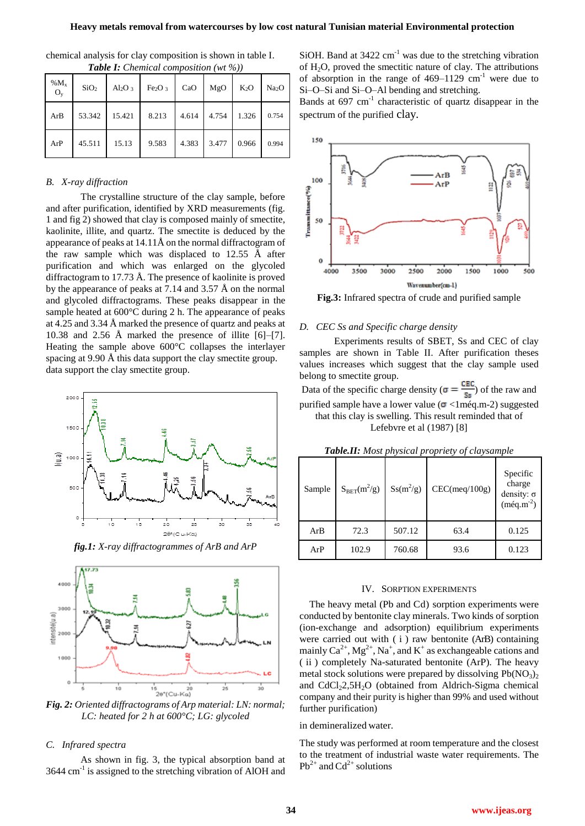| % $M_{x}$<br>$O_v$ | SiO <sub>2</sub> | $Al_2O_3$ | Fe <sub>2</sub> O <sub>3</sub> | CaO   | MgO   | $K_2O$ | Na <sub>2</sub> O |
|--------------------|------------------|-----------|--------------------------------|-------|-------|--------|-------------------|
| ArB                | 53.342           | 15.421    | 8.213                          | 4.614 | 4.754 | 1.326  | 0.754             |
| ArP                | 45.511           | 15.13     | 9.583                          | 4.383 | 3.477 | 0.966  | 0.994             |

chemical analysis for clay composition is shown in table I. *Table I: Chemical composition (wt %))*

# *B. X-ray diffraction*

The crystalline structure of the clay sample, before and after purification, identified by XRD measurements (fig. 1 and fig 2) showed that clay is composed mainly of smectite, kaolinite, illite, and quartz. The smectite is deduced by the appearance of peaks at 14.11Å on the normal diffractogram of the raw sample which was displaced to 12.55 Å after purification and which was enlarged on the glycoled diffractogram to 17.73 Å. The presence of kaolinite is proved by the appearance of peaks at 7.14 and 3.57 Å on the normal and glycoled diffractograms. These peaks disappear in the sample heated at 600°C during 2 h. The appearance of peaks at 4.25 and 3.34 Å marked the presence of quartz and peaks at 10.38 and 2.56 Å marked the presence of illite [6]–[7]. Heating the sample above 600°C collapses the interlayer spacing at 9.90 Å this data support the clay smectite group. data support the clay smectite group.



*fig.1: X-ray diffractogrammes of ArB and ArP*



*Fig. 2: Oriented diffractograms of Arp material: LN: normal; LC: heated for 2 h at 600°C; LG: glycoled*

## *C. Infrared spectra*

As shown in fig. 3, the typical absorption band at 3644 cm<sup>-1</sup> is assigned to the stretching vibration of AlOH and

SiOH. Band at  $3422 \text{ cm}^{-1}$  was due to the stretching vibration of H2O, proved the smectitic nature of clay. The attributions of absorption in the range of  $469-1129$  cm<sup>-1</sup> were due to Si–O–Si and Si–O–Al bending and stretching.

Bands at 697 cm<sup>-1</sup> characteristic of quartz disappear in the spectrum of the purified clay.



**Fig.3:** Infrared spectra of crude and purified sample

## *D. CEC Ss and Specific charge density*

Experiments results of SBET, Ss and CEC of clay samples are shown in Table II. After purification theses values increases which suggest that the clay sample used belong to smectite group.

Data of the specific charge density ( $\sigma = \frac{CEC}{Ss}$ ) of the raw and purified sample have a lower value ( $\sigma$  <1méq.m-2) suggested that this clay is swelling. This result reminded that of Lefebvre et al (1987) [8]

*Table.II: Most physical propriety of claysample*

| Sample | $S_{BET}(m^2/g)$ | $Ss(m^2/g)$ | CEC(meq/100g) | Specific<br>charge<br>density: $\sigma$<br>$(m\acute{e}q.m^{-2})$ |
|--------|------------------|-------------|---------------|-------------------------------------------------------------------|
| ArB    | 72.3             | 507.12      | 63.4          | 0.125                                                             |
| ArP    | 102.9            | 760.68      | 93.6          | 0.123                                                             |

#### IV. SORPTION EXPERIMENTS

The heavy metal (Pb and Cd) sorption experiments were conducted by bentonite clay minerals. Two kinds of sorption (ion-exchange and adsorption) equilibrium experiments were carried out with ( i ) raw bentonite (ArB) containing mainly  $Ca^{2+}$ ,  $Mg^{2+}$ , Na<sup>+</sup>, and K<sup>+</sup> as exchangeable cations and ( ii ) completely Na-saturated bentonite (ArP). The heavy metal stock solutions were prepared by dissolving  $Pb(NO<sub>3</sub>)<sub>2</sub>$ and CdCl<sub>2</sub>2,5H<sub>2</sub>O (obtained from Aldrich-Sigma chemical company and their purity is higher than 99% and used without further purification)

## in demineralized water.

The study was performed at room temperature and the closest to the treatment of industrial waste water requirements. The  $Pb^{2+}$  and  $Cd^{2+}$  solutions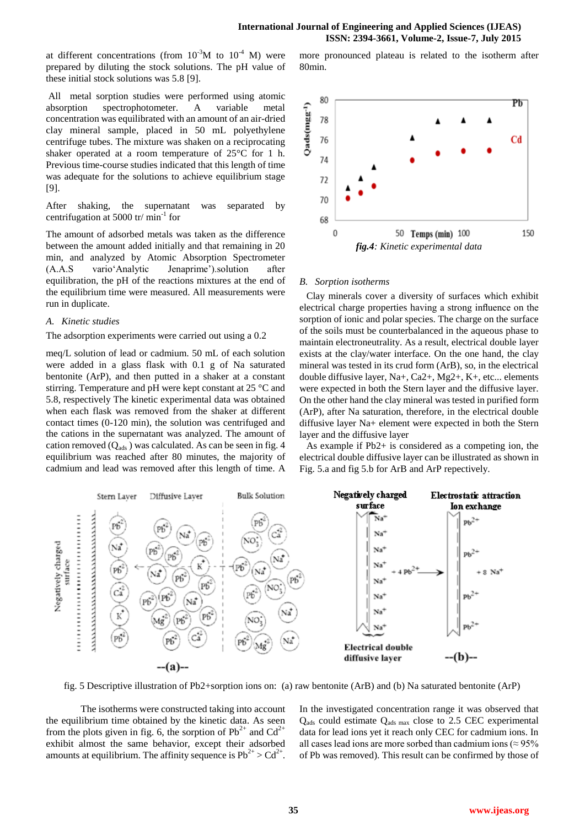80min.

at different concentrations (from  $10^{-3}$ M to  $10^{-4}$  M) were prepared by diluting the stock solutions. The pH value of these initial stock solutions was 5.8 [9].

All metal sorption studies were performed using atomic absorption spectrophotometer. A variable metal concentration was equilibrated with an amount of an air-dried clay mineral sample, placed in 50 mL polyethylene centrifuge tubes. The mixture was shaken on a reciprocating shaker operated at a room temperature of 25°C for 1 h. Previous time-course studies indicated that this length of time was adequate for the solutions to achieve equilibrium stage [9].

After shaking, the supernatant was separated by centrifugation at 5000 tr/ min<sup>-1</sup> for

The amount of adsorbed metals was taken as the difference between the amount added initially and that remaining in 20 min, and analyzed by Atomic Absorption Spectrometer (A.A.S vario'Analytic Jenaprime').solution after equilibration, the pH of the reactions mixtures at the end of the equilibrium time were measured. All measurements were run in duplicate.

## *A. Kinetic studies*

The adsorption experiments were carried out using a 0.2

meq/L solution of lead or cadmium. 50 mL of each solution were added in a glass flask with 0.1 g of Na saturated bentonite (ArP), and then putted in a shaker at a constant stirring. Temperature and pH were kept constant at 25 °C and 5.8, respectively The kinetic experimental data was obtained when each flask was removed from the shaker at different contact times (0-120 min), the solution was centrifuged and the cations in the supernatant was analyzed. The amount of cation removed  $(Q_{ads})$  was calculated. As can be seen in fig. 4 equilibrium was reached after 80 minutes, the majority of cadmium and lead was removed after this length of time. A



more pronounced plateau is related to the isotherm after

# *B. Sorption isotherms*

Clay minerals cover a diversity of surfaces which exhibit electrical charge properties having a strong influence on the sorption of ionic and polar species. The charge on the surface of the soils must be counterbalanced in the aqueous phase to maintain electroneutrality. As a result, electrical double layer exists at the clay/water interface. On the one hand, the clay mineral was tested in its crud form (ArB), so, in the electrical double diffusive layer, Na+, Ca2+, Mg2+, K+, etc... elements were expected in both the Stern layer and the diffusive layer. On the other hand the clay mineral was tested in purified form (ArP), after Na saturation, therefore, in the electrical double diffusive layer Na+ element were expected in both the Stern layer and the diffusive layer

As example if Pb2+ is considered as a competing ion, the electrical double diffusive layer can be illustrated as shown in Fig. 5.a and fig 5.b for ArB and ArP repectively.



fig. 5 Descriptive illustration of Pb2+sorption ions on: (a) raw bentonite (ArB) and (b) Na saturated bentonite (ArP)

The isotherms were constructed taking into account the equilibrium time obtained by the kinetic data. As seen from the plots given in fig. 6, the sorption of  $Pb^{2+}$  and  $Cd^{2+}$ exhibit almost the same behavior, except their adsorbed amounts at equilibrium. The affinity sequence is  $Pb^{2+} > Cd^{2+}$ . In the investigated concentration range it was observed that  $Q_{ads}$  could estimate  $Q_{ads}$  max close to 2.5 CEC experimental data for lead ions yet it reach only CEC for cadmium ions. In all cases lead ions are more sorbed than cadmium ions ( $\approx$  95% of Pb was removed). This result can be confirmed by those of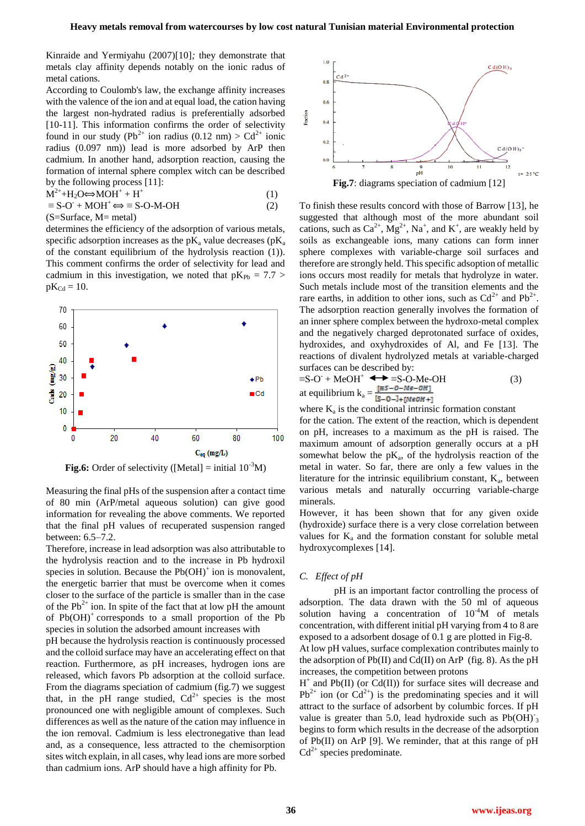Kinraide and Yermiyahu (2007)[10]*;* they demonstrate that metals clay affinity depends notably on the ionic radus of metal cations.

According to Coulomb's law, the exchange affinity increases with the valence of the ion and at equal load, the cation having the largest non-hydrated radius is preferentially adsorbed [10-11]. This information confirms the order of selectivity found in our study (Pb<sup>2+</sup> ion radius (0.12 nm) > Cd<sup>2+</sup> ionic radius (0.097 nm)) lead is more adsorbed by ArP then cadmium. In another hand, adsorption reaction, causing the formation of internal sphere complex witch can be described by the following process [11]:

$$
M^{2+} + H_2O \Leftrightarrow MOH^+ + H^+ \tag{1}
$$
  

$$
\equiv S-O^+ + MOH^+ \Leftrightarrow \equiv S-O-M-OH \tag{2}
$$

(S=Surface, M= metal)

determines the efficiency of the adsorption of various metals, specific adsorption increases as the  $pK_a$  value decreases ( $pK_a$ of the constant equilibrium of the hydrolysis reaction (1)). This comment confirms the order of selectivity for lead and cadmium in this investigation, we noted that  $pK_{Pb} = 7.7$  $pK_{Cd} = 10$ .



**Fig.6:** Order of selectivity ([Metal] = initial  $10^{-3}M$ )

Measuring the final pHs of the suspension after a contact time of 80 min (ArP/metal aqueous solution) can give good information for revealing the above comments. We reported that the final pH values of recuperated suspension ranged between: 6.5–7.2.

Therefore, increase in lead adsorption was also attributable to the hydrolysis reaction and to the increase in Pb hydroxil species in solution. Because the  $Pb(OH)^+$  ion is monovalent, the energetic barrier that must be overcome when it comes closer to the surface of the particle is smaller than in the case of the Pb<sup>2+</sup> ion. In spite of the fact that at low pH the amount of  $Pb(OH)$ <sup>+</sup> corresponds to a small proportion of the Pb species in solution the adsorbed amount increases with

pH because the hydrolysis reaction is continuously processed and the colloid surface may have an accelerating effect on that reaction. Furthermore, as pH increases, hydrogen ions are released, which favors Pb adsorption at the colloid surface. From the diagrams speciation of cadmium (fig.7) we suggest that, in the pH range studied,  $Cd^{2+}$  species is the most pronounced one with negligible amount of complexes. Such differences as well as the nature of the cation may influence in the ion removal. Cadmium is less electronegative than lead and, as a consequence, less attracted to the chemisorption sites witch explain, in all cases, why lead ions are more sorbed than cadmium ions. ArP should have a high affinity for Pb.



To finish these results concord with those of Barrow [13], he suggested that although most of the more abundant soil cations, such as  $Ca^{2+}$ ,  $Mg^{2+}$ , Na<sup>+</sup>, and K<sup>+</sup>, are weakly held by soils as exchangeable ions, many cations can form inner sphere complexes with variable-charge soil surfaces and therefore are strongly held. This specific adsoption of metallic ions occurs most readily for metals that hydrolyze in water. Such metals include most of the transition elements and the rare earths, in addition to other ions, such as  $Cd^{2+}$  and  $Pb^{2+}$ . The adsorption reaction generally involves the formation of an inner sphere complex between the hydroxo-metal complex and the negatively charged deprotonated surface of oxides, hydroxides, and oxyhydroxides of Al, and Fe [13]. The reactions of divalent hydrolyzed metals at variable-charged surfaces can be described by:

$$
\equiv S-O^+ \text{MeOH}^+ \longrightarrow \equiv S-O-Me-OH
$$
  
at equilibrium  $k_a = \frac{[E5-O-Me-OH]}{[S-O-]+[MeOH+]} \tag{3}$ 

where  $K_a$  is the conditional intrinsic formation constant for the cation. The extent of the reaction, which is dependent on pH, increases to a maximum as the pH is raised. The maximum amount of adsorption generally occurs at a pH somewhat below the  $pK_a$ , of the hydrolysis reaction of the metal in water. So far, there are only a few values in the literature for the intrinsic equilibrium constant,  $K_a$ , between various metals and naturally occurring variable-charge minerals.

However, it has been shown that for any given oxide (hydroxide) surface there is a very close correlation between values for  $K_a$  and the formation constant for soluble metal hydroxycomplexes [14].

## *C. Effect of pH*

pH is an important factor controlling the process of adsorption. The data drawn with the 50 ml of aqueous solution having a concentration of  $10^{-4}M$  of metals concentration, with different initial pH varying from 4 to 8 are exposed to a adsorbent dosage of 0.1 g are plotted in Fig-8. At low pH values, surface complexation contributes mainly to the adsorption of  $Pb(II)$  and  $Cd(II)$  on ArP (fig. 8). As the pH increases, the competition between protons

 $H^+$  and Pb(II) (or Cd(II)) for surface sites will decrease and  $Pb^{2+}$  ion (or Cd<sup>2+</sup>) is the predominating species and it will attract to the surface of adsorbent by columbic forces. If pH value is greater than 5.0, lead hydroxide such as  $Pb(OH)^{-}_{3}$ begins to form which results in the decrease of the adsorption of Pb(II) on ArP [9]. We reminder, that at this range of pH  $Cd^{2+}$  species predominate.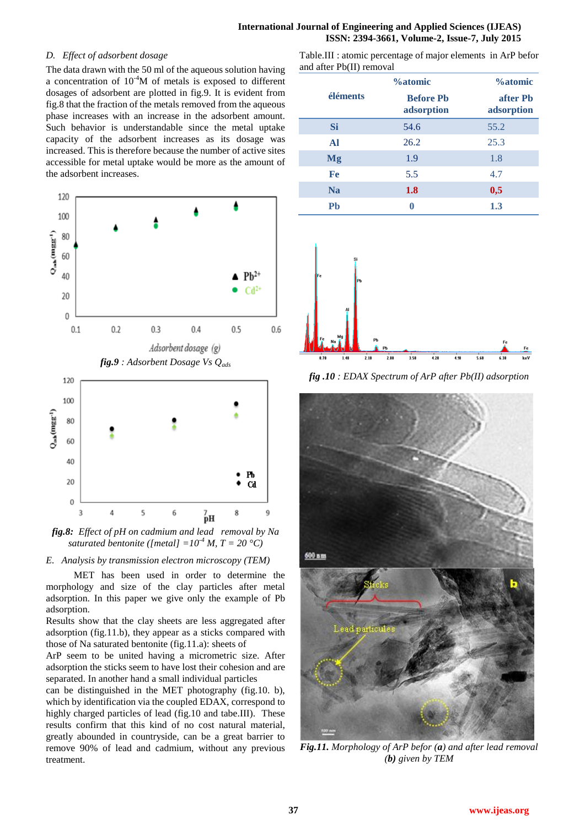# *D. Effect of adsorbent dosage*

The data drawn with the 50 ml of the aqueous solution having a concentration of  $10^{-4}M$  of metals is exposed to different dosages of adsorbent are plotted in fig.9. It is evident from fig.8 that the fraction of the metals removed from the aqueous phase increases with an increase in the adsorbent amount. Such behavior is understandable since the metal uptake capacity of the adsorbent increases as its dosage was increased. This is therefore because the number of active sites accessible for metal uptake would be more as the amount of the adsorbent increases.



*fig.8: Effect of pH on cadmium and lead removal by Na saturated bentonite ([metal]* =  $10^{4}$  *M, T* =  $20 °C$ )

*E. Analysis by transmission electron microscopy (TEM)*

MET has been used in order to determine the morphology and size of the clay particles after metal adsorption. In this paper we give only the example of Pb adsorption.

Results show that the clay sheets are less aggregated after adsorption (fig.11.b), they appear as a sticks compared with those of Na saturated bentonite (fig.11.a): sheets of

ArP seem to be united having a micrometric size. After adsorption the sticks seem to have lost their cohesion and are separated. In another hand a small individual particles

can be distinguished in the MET photography (fig.10. b), which by identification via the coupled EDAX, correspond to highly charged particles of lead (fig.10 and tabe.III). These results confirm that this kind of no cost natural material, greatly abounded in countryside, can be a great barrier to remove 90% of lead and cadmium, without any previous treatment.

Table.III : atomic percentage of major elements in ArP befor and after Pb(II) removal

|           | <b>%atomic</b>                 | <b>%atomic</b>         |  |
|-----------|--------------------------------|------------------------|--|
| éléments  | <b>Before Ph</b><br>adsorption | after Ph<br>adsorption |  |
| <b>Si</b> | 54.6                           | 55.2                   |  |
| Al        | 26.2                           | 25.3                   |  |
| <b>Mg</b> | 1.9                            | 1.8                    |  |
| Fe        | 5.5                            | 4.7                    |  |
| <b>Na</b> | 1.8                            | 0,5                    |  |
| Pb        |                                | 1.3                    |  |



*fig .10 : EDAX Spectrum of ArP after Pb(II) adsorption*



*Fig.11. Morphology of ArP befor (a) and after lead removal (b) given by TEM*